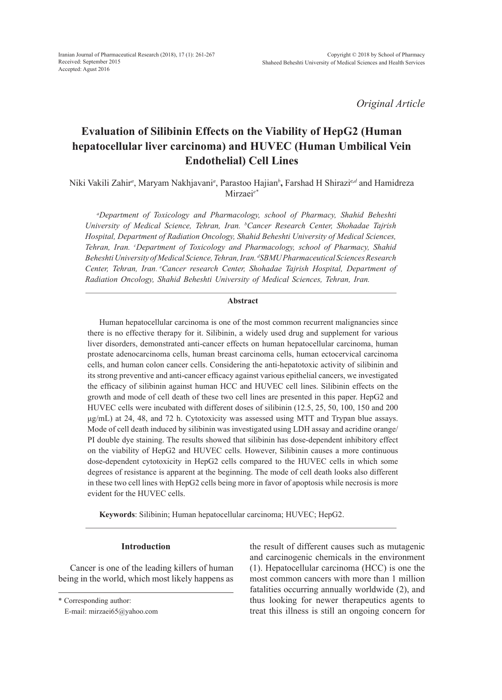*Original Article*

# **Evaluation of Silibinin Effects on the Viability of HepG2 (Human hepatocellular liver carcinoma) and HUVEC (Human Umbilical Vein Endothelial) Cell Lines**

Niki Vakili Zahir*<sup>a</sup>* , Maryam Nakhjavani*<sup>a</sup>* , Parastoo Hajian*<sup>b</sup>* **,** Farshad H Shirazi*c,<sup>d</sup>* and Hamidreza Mirzaei*e\**

*a Department of Toxicology and Pharmacology, school of Pharmacy, Shahid Beheshti University of Medical Science, Tehran, Iran. b Cancer Research Center, Shohadae Tajrish Hospital, Department of Radiation Oncology, Shahid Beheshti University of Medical Sciences, Tehran, Iran. c Department of Toxicology and Pharmacology, school of Pharmacy, Shahid Beheshti University of Medical Science, Tehran, Iran. d SBMU Pharmaceutical Sciences Research Center, Tehran, Iran. <sup>e</sup> Cancer research Center, Shohadae Tajrish Hospital, Department of Radiation Oncology, Shahid Beheshti University of Medical Sciences, Tehran, Iran.*

## **Abstract**

Human hepatocellular carcinoma is one of the most common recurrent malignancies since there is no effective therapy for it. Silibinin, a widely used drug and supplement for various liver disorders, demonstrated anti-cancer effects on human hepatocellular carcinoma, human prostate adenocarcinoma cells, human breast carcinoma cells, human ectocervical carcinoma cells, and human colon cancer cells. Considering the anti-hepatotoxic activity of silibinin and its strong preventive and anti-cancer efficacy against various epithelial cancers, we investigated the efficacy of silibinin against human HCC and HUVEC cell lines. Silibinin effects on the growth and mode of cell death of these two cell lines are presented in this paper. HepG2 and HUVEC cells were incubated with different doses of silibinin (12.5, 25, 50, 100, 150 and 200 μg/mL) at 24, 48, and 72 h. Cytotoxicity was assessed using MTT and Trypan blue assays. Mode of cell death induced by silibinin was investigated using LDH assay and acridine orange/ PI double dye staining. The results showed that silibinin has dose-dependent inhibitory effect on the viability of HepG2 and HUVEC cells. However, Silibinin causes a more continuous dose-dependent cytotoxicity in HepG2 cells compared to the HUVEC cells in which some degrees of resistance is apparent at the beginning. The mode of cell death looks also different in these two cell lines with HepG2 cells being more in favor of apoptosis while necrosis is more evident for the HUVEC cells.

**Keywords**: Silibinin; Human hepatocellular carcinoma; HUVEC; HepG2.

# **Introduction**

Cancer is one of the leading killers of human being in the world, which most likely happens as

\* Corresponding author:

the result of different causes such as mutagenic and carcinogenic chemicals in the environment (1). Hepatocellular carcinoma (HCC) is one the most common cancers with more than 1 million fatalities occurring annually worldwide (2), and thus looking for newer therapeutics agents to treat this illness is still an ongoing concern for

E-mail: mirzaei65@yahoo.com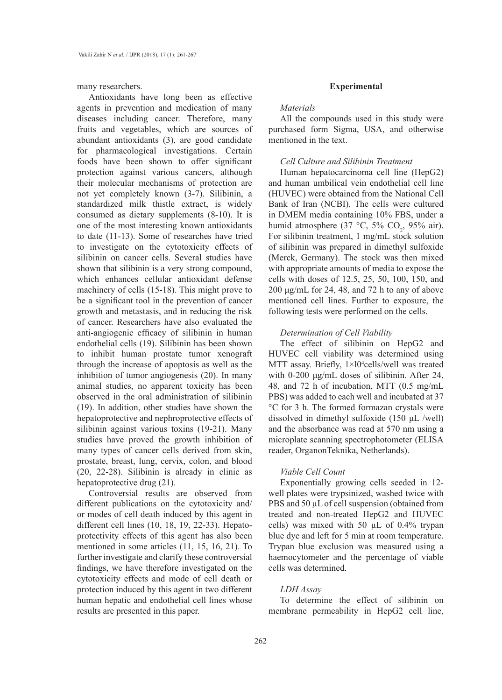many researchers.

Antioxidants have long been as effective agents in prevention and medication of many diseases including cancer. Therefore, many fruits and vegetables, which are sources of abundant antioxidants (3), are good candidate for pharmacological investigations. Certain foods have been shown to offer significant protection against various cancers, although their molecular mechanisms of protection are not yet completely known (3-7). Silibinin, a standardized milk thistle extract, is widely consumed as dietary supplements (8-10). It is one of the most interesting known antioxidants to date (11-13). Some of researches have tried to investigate on the cytotoxicity effects of silibinin on cancer cells. Several studies have shown that silibinin is a very strong compound, which enhances cellular antioxidant defense machinery of cells (15-18). This might prove to be a significant tool in the prevention of cancer growth and metastasis, and in reducing the risk of cancer. Researchers have also evaluated the anti-angiogenic efficacy of silibinin in human endothelial cells (19). Silibinin has been shown to inhibit human prostate tumor xenograft through the increase of apoptosis as well as the inhibition of tumor angiogenesis (20). In many animal studies, no apparent toxicity has been observed in the oral administration of silibinin (19). In addition, other studies have shown the hepatoprotective and nephroprotective effects of silibinin against various toxins (19-21). Many studies have proved the growth inhibition of many types of cancer cells derived from skin, prostate, breast, lung, cervix, colon, and blood (20, 22-28). Silibinin is already in clinic as hepatoprotective drug (21).

Controversial results are observed from different publications on the cytotoxicity and/ or modes of cell death induced by this agent in different cell lines (10, 18, 19, 22-33). Hepatoprotectivity effects of this agent has also been mentioned in some articles (11, 15, 16, 21). To further investigate and clarify these controversial findings, we have therefore investigated on the cytotoxicity effects and mode of cell death or protection induced by this agent in two different human hepatic and endothelial cell lines whose results are presented in this paper.

#### **Experimental**

### *Materials*

All the compounds used in this study were purchased form Sigma, USA, and otherwise mentioned in the text.

# *Cell Culture and Silibinin Treatment*

Human hepatocarcinoma cell line (HepG2) and human umbilical vein endothelial cell line (HUVEC) were obtained from the National Cell Bank of Iran (NCBI). The cells were cultured in DMEM media containing 10% FBS, under a humid atmosphere (37 °C, 5% CO<sub>2</sub>, 95% air). For silibinin treatment, 1 mg/mL stock solution of silibinin was prepared in dimethyl sulfoxide (Merck, Germany). The stock was then mixed with appropriate amounts of media to expose the cells with doses of 12.5, 25, 50, 100, 150, and 200 μg/mL for 24, 48, and 72 h to any of above mentioned cell lines. Further to exposure, the following tests were performed on the cells.

## *Determination of Cell Viability*

The effect of silibinin on HepG2 and HUVEC cell viability was determined using MTT assay. Briefly,  $1 \times 10^4$ cells/well was treated with 0-200 μg/mL doses of silibinin. After 24, 48, and 72 h of incubation, MTT (0.5 mg/mL PBS) was added to each well and incubated at 37 °C for 3 h. The formed formazan crystals were dissolved in dimethyl sulfoxide (150 μL /well) and the absorbance was read at 570 nm using a microplate scanning spectrophotometer (ELISA reader, OrganonTeknika, Netherlands).

# *Viable Cell Count*

Exponentially growing cells seeded in 12 well plates were trypsinized, washed twice with PBS and 50  $\mu$ L of cell suspension (obtained from treated and non-treated HepG2 and HUVEC cells) was mixed with 50 µL of 0.4% trypan blue dye and left for 5 min at room temperature. Trypan blue exclusion was measured using a haemocytometer and the percentage of viable cells was determined.

# *LDH Assay*

To determine the effect of silibinin on membrane permeability in HepG2 cell line,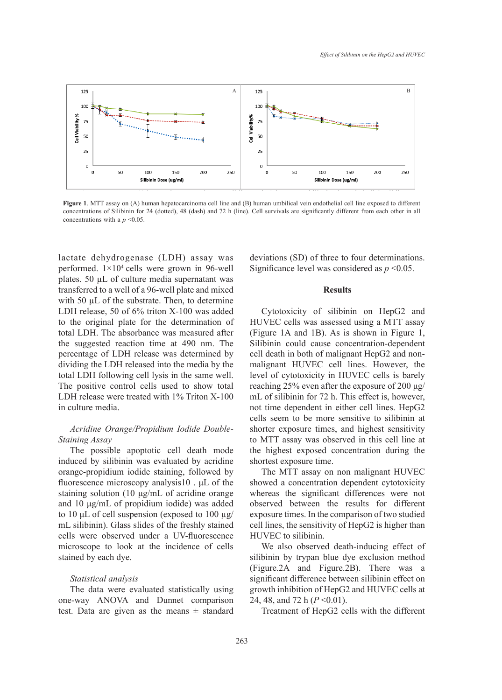

Figure 1. MTT assay on (A) human hepatocarcinoma cell line and (B) human umbilical vein endothelial cell line exposed to different concentrations of Silibinin for 24 (dotted), 48 (dash) and 72 h (line). Cell survivals are significantly different from each other in all concentrations with a *p* <0.05.

lactate dehydrogenase (LDH) assay was deviations (SD) of three to four determination performed.  $1\times10^4$  cells were grown in 96-well performed. This cents were grown in 50 were significanted ever was considered as  $p \sim 0.05$  plates. 50 µL of culture media supernatant was transferred to a well of a 96-well plate and mixed **Example 18 Results** Results with 50  $\mu$ L of the substrate. Then, to determine LDH release,  $50$  of  $6\%$  triton X-100 was added to the original plate for the determination of HUVEC cells was assessed using a MTT a total LDH. The absorbance was measured after the suggested reaction time at 490 nm. The Silibinin could cause concentration-dependent difference between silibinin could cause concentration-dependent percentage of LDH release was determined by cell death in both of malig dividing the LDH released into the media by the total LDH following cell lysis in the same well. The positive control cells used to show total LDH release were treated with 1% Triton X-100 in culture media.

# *Acridine Orange/Propidium Iodide Double-Staining Assay*

The possible apoptotic cell death mode induced by silibinin was evaluated by acridine orange-propidium iodide staining, followed by fluorescence microscopy analysis10 . μL of the staining solution (10 μg/mL of acridine orange and 10 μg/mL of propidium iodide) was added to 10 μL of cell suspension (exposed to 100 µg/ mL silibinin). Glass slides of the freshly stained cells were observed under a UV-fluorescence microscope to look at the incidence of cells stained by each dye.

## *Statistical analysis*

The data were evaluated statistically using one-way ANOVA and Dunnet comparison test. Data are given as the means  $\pm$  standard deviations (SD) of three to four determinations. Significance level was considered as *p* <0.05.

## **Results**

Cytotoxicity of silibinin on HepG2 and HUVEC cells was assessed using a MTT assay (Figure 1A and 1B). As is shown in Figure 1, Silibinin could cause concentration-dependent cell death in both of malignant HepG2 and nonmalignant HUVEC cell lines. However, the level of cytotoxicity in HUVEC cells is barely reaching 25% even after the exposure of 200 μg/ mL of silibinin for 72 h. This effect is, however, not time dependent in either cell lines. HepG2 cells seem to be more sensitive to silibinin at shorter exposure times, and highest sensitivity to MTT assay was observed in this cell line at the highest exposed concentration during the shortest exposure time.

The MTT assay on non malignant HUVEC showed a concentration dependent cytotoxicity whereas the significant differences were not observed between the results for different exposure times. In the comparison of two studied cell lines, the sensitivity of HepG2 is higher than HUVEC to silibinin.

We also observed death-inducing effect of silibinin by trypan blue dye exclusion method (Figure.2A and Figure.2B). There was a significant difference between silibinin effect on growth inhibition of HepG2 and HUVEC cells at 24, 48, and 72 h (*P* <0.01).

Treatment of HepG2 cells with the different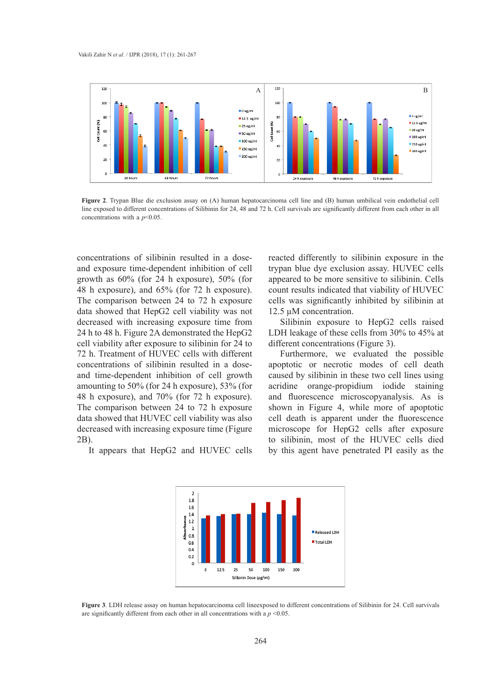

**Figure 2**. Trypan Blue die exclusion assay on (A) human hepatocarcinoma cell line and (B) human umbilical vein endothelial cell Figure 2. Trypan Blue die exclusion assay on (A) numan hepatocal chioma cen line and (B) numan umbincal vein endomenar cen<br>line exposed to different concentrations of Silibinin for 24, 48 and 72 h. Cell survivals are signi concentrations with a *p*<0.05. endothelial cell line exposed to different concentrations of Silibinin for 24, 48 and 72 h. Cell survivals are squirred to different concentrations with a  $\approx$  0.05

concentrations of silibinin resulted in a dose and exposure time-dependent inhibition of cell growth as 60% (for 24 h exposure), 50% (for 48 h exposure), and 65% (for 72 h exposure). The comparison between 24 to 72 h exposure data showed that HepG2 cell viability was not decreased with increasing exposure time from 24 h to 48 h. Figure 2A demonstrated the HepG2 cell viability after exposure to silibinin for 24 to  $\overline{a}$ 72 h. Treatment of HUVEC cells with different concentrations of silibinin resulted in a doseand time-dependent inhibition of cell growth amounting to 50% (for 24 h exposure), 53% (for 48 h exposure), and 70% (for 72 h exposure). The comparison between 24 to 72 h exposure data showed that HUVEC cell viability was also decreased with increasing exposure time (Figure 2B).

It appears that HepG2 and HUVEC cells

reacted differently to silibinin exposure in the 1 exposure time-dependent inhibition of cell trypan blue dye exclusion assay. HUVEC cells with as  $60\%$  (for 24 h exposure),  $50\%$  (for appeared to be more sensitive to silibinin. Cells and  $60\%$  (for  $\overline{32.1}$ ) count results indicated that viability of HUVEC e comparison between 24 to 72 h exposure cells was significantly inhibited by silibinin at 12.5 µM concentration.

Silibinin exposure to HepG2 cells raised h to 48 h. Figure 2A demonstrated the HepG2 LDH leakage of these cells from 30% to 45% at different concentrations (Figure 3).

> Furthermore, we evaluated the possible apoptotic or necrotic modes of cell death caused by silibinin in these two cell lines using acridine orange-propidium iodide staining and fluorescence microscopyanalysis. As is shown in Figure 4, while more of apoptotic cell death is apparent under the fluorescence microscope for HepG2 cells after exposure to silibinin, most of the HUVEC cells died by this agent have penetrated PI easily as the



Figure 3. LDH release assay on human hepatocarcinoma cell lineexposed to different concentrations of Silibinin for 24. Cell survivals are significantly different from each other in all concentrations with a  $p \le 0.05$ .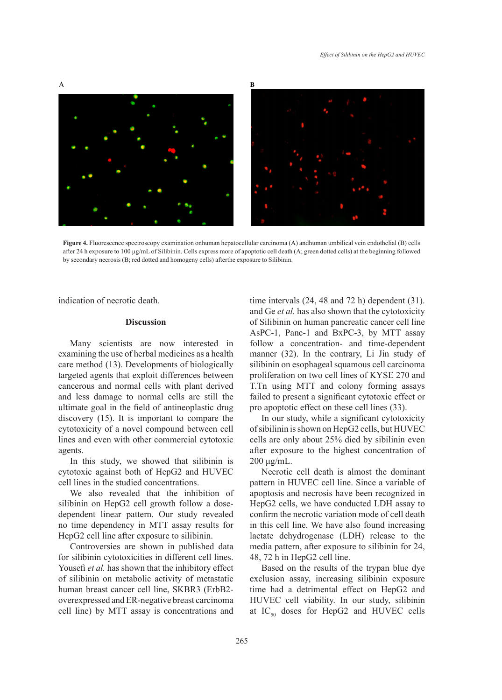

**B B**



**Figure 4.** Fluorescence spectroscopy examination onhuman hepatocellular carcinoma (A) andhuman umbilical vein endothelial (B) cells after 24 h exposure to 100 µg/mL of Silibinin. Cells express more of apoptotic cell death (A; green dotted cells) at the beginning followed<br>by secondary necrosis (B; red dotted and homogeny cells) after the exposure to Sil by secondary necrosis  $(B; red dotted and homogeny cells)$  after the exposure to Silibinin.  $\mathbf{v}_i$  cells after 24 h exposure to  $\mathbf{v}_i$  cells exposure to  $\mathbf{v}_i$  cells express more of apoptotic cells express more of apoptotic cells express more of apoptotic cells express more of apoptotic cells express mo

indication of necrotic death.

## **Discussion**

Many scientists are now interested in examining the use of herbal medicines as a health care method (13). Developments of biologically targeted agents that exploit differences between cancerous and normal cells with plant derived and less damage to normal cells are still the failed to present a significant contract care and hepatocellular care spectroscopy examines to  $\alpha$  and  $\alpha$  and  $\alpha$ ultimate goal in the field of antineoplastic drug pro apoptotic effect on these discovery (15). It is important to compare the ln our study, while a sign  $cytotoxicity$  of a novel compound between cell lines and even with other commercial cytotoxic agents.

In this study, we showed that silibinin is cytotoxic against both of HepG2 and HUVEC cell lines in the studied concentrations.

We also revealed that the inhibition of silibinin on HepG2 cell growth follow a dosedependent linear pattern. Our study revealed no time dependency in MTT assay results for HepG2 cell line after exposure to silibinin.

Controversies are shown in published data for silibinin cytotoxicities in different cell lines. Yousefi *et al.* has shown that the inhibitory effect of silibinin on metabolic activity of metastatic human breast cancer cell line, SKBR3 (ErbB2 overexpressed and ER-negative breast carcinoma cell line) by MTT assay is concentrations and time intervals (24, 48 and 72 h) dependent (31). and Ge *et al.* has also shown that the cytotoxicity of Silibinin on human pancreatic cancer cell line AsPC-1, Panc-1 and BxPC-3, by MTT assay follow a concentration- and time-dependent manner (32). In the contrary, Li Jin study of silibinin on esophageal squamous cell carcinoma proliferation on two cell lines of KYSE 270 and T.Tn using MTT and colony forming assays failed to present a significant cytotoxic effect or pro apoptotic effect on these cell lines (33).

In our study, while a significant cytotoxicity of sibilinin is shown on HepG2 cells, but HUVEC cells are only about 25% died by sibilinin even after exposure to the highest concentration of 200 μg/mL.

Necrotic cell death is almost the dominant pattern in HUVEC cell line. Since a variable of apoptosis and necrosis have been recognized in HepG2 cells, we have conducted LDH assay to confirm the necrotic variation mode of cell death in this cell line. We have also found increasing lactate dehydrogenase (LDH) release to the media pattern, after exposure to silibinin for 24, 48, 72 h in HepG2 cell line.

Based on the results of the trypan blue dye exclusion assay, increasing silibinin exposure time had a detrimental effect on HepG2 and HUVEC cell viability. In our study, silibinin at  $IC_{50}$  doses for HepG2 and HUVEC cells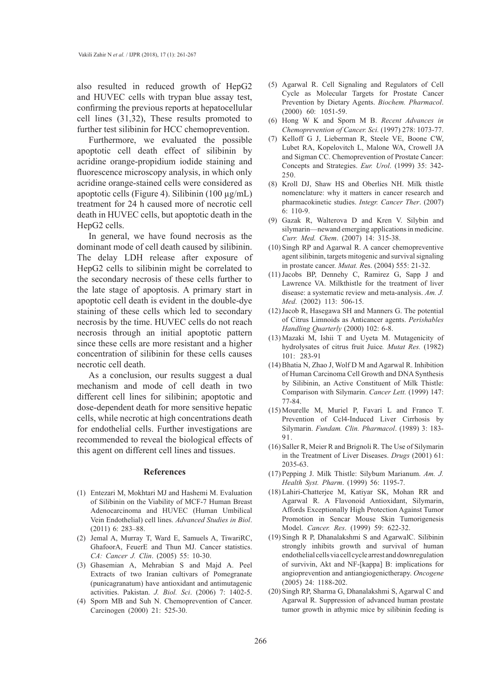also resulted in reduced growth of HepG2 and HUVEC cells with trypan blue assay test, confirming the previous reports at hepatocellular cell lines (31,32), These results promoted to further test silibinin for HCC chemoprevention.

Furthermore, we evaluated the possible apoptotic cell death effect of silibinin by acridine orange-propidium iodide staining and fluorescence microscopy analysis, in which only acridine orange-stained cells were considered as apoptotic cells (Figure 4). Silibinin (100  $\mu$ g/mL) treatment for 24 h caused more of necrotic cell death in HUVEC cells, but apoptotic death in the HepG2 cells.

In general, we have found necrosis as the dominant mode of cell death caused by silibinin. The delay LDH release after exposure of HepG2 cells to silibinin might be correlated to the secondary necrosis of these cells further to the late stage of apoptosis. A primary start in apoptotic cell death is evident in the double-dye staining of these cells which led to secondary necrosis by the time. HUVEC cells do not reach necrosis through an initial apoptotic pattern since these cells are more resistant and a higher concentration of silibinin for these cells causes necrotic cell death.

As a conclusion, our results suggest a dual mechanism and mode of cell death in two different cell lines for silibinin; apoptotic and dose-dependent death for more sensitive hepatic cells, while necrotic at high concentrations death for endothelial cells. Further investigations are recommended to reveal the biological effects of this agent on different cell lines and tissues.

## **References**

- Entezari M, Mokhtari MJ and Hashemi M. Evaluation (1) of Silibinin on the Viability of MCF-7 Human Breast Adenocarcinoma and HUVEC (Human Umbilical Vein Endothelial) cell lines. *Advanced Studies in Biol*. (2011) 6: 283–88.
- (2) Jemal A, Murray T, Ward E, Samuels A, TiwariRC, GhafoorA, FeuerE and Thun MJ. Cancer statistics. *CA: Cancer J. Clin*. (2005) 55: 10-30.
- Ghasemian A, Mehrabian S and Majd A. Peel (3) Extracts of two Iranian cultivars of Pomegranate (punicagranatum) have antioxidant and antimutagenic activities. Pakistan. *J. Biol. Sci*. (2006) 7: 1402-5.
- (4) Sporn MB and Suh N. Chemoprevention of Cancer. Carcinogen (2000) 21: 525-30.
- (5) Agarwal R. Cell Signaling and Regulators of Cell Cycle as Molecular Targets for Prostate Cancer Prevention by Dietary Agents. *Biochem. Pharmacol*. (2000) 60: 1051-59.
- Hong W K and Sporn M B. *Recent Advances in*  (6) *Chemoprevention of Cancer. Sci.* (1997) 278: 1073-77.
- Kelloff G J, Lieberman R, Steele VE, Boone CW, Lubet RA, Kopelovitch L, Malone WA, Crowell JA and Sigman CC. Chemoprevention of Prostate Cancer: Concepts and Strategies. *Eur. Urol*. (1999) 35: 342- 250. (7)
- (8) Kroll DJ, Shaw HS and Oberlies NH. Milk thistle nomenclature: why it matters in cancer research and pharmacokinetic studies. *Integr. Cancer Ther*. (2007)  $6: 110-9$
- Gazak R, Walterova D and Kren V. Silybin and (9) silymarin—newand emerging applications in medicine. *Curr. Med. Chem*. (2007) 14: 315-38.
- $(10)$  Singh RP and Agarwal R. A cancer chemopreventive agent silibinin, targets mitogenic and survival signaling in prostate cancer. *Mutat. R*es. (2004) 555: 21-32.
- $(11)$  Jacobs BP, Dennehy C, Ramirez G, Sapp J and Lawrence VA. Milkthistle for the treatment of liver disease: a systematic review and meta-analysis. *Am. J. Med*. (2002) 113: 506-15.
- $(12)$  Jacob R, Hasegawa SH and Manners G. The potential of Citrus Limnoids as Anticancer agents. *Perishables Handling Quarterly* (2000) 102: 6-8.
- $(13)$  Mazaki M, Ishii T and Uyeta M. Mutagenicity of hydrolysates of citrus fruit Juice*. Mutat Res.* (1982) 101: 283-91
- $(14)$  Bhatia N, Zhao J, Wolf D M and Agarwal R. Inhibition of Human Carcinoma Cell Growth and DNA Synthesis by Silibinin, an Active Constituent of Milk Thistle: Comparison with Silymarin. *Cancer Lett.* (1999) 147: 77-84.
- $(15)$  Mourelle M, Muriel P, Favari L and Franco T. Prevention of Ccl4-Induced Liver Cirrhosis by Silymarin. *Fundam. Clin. Pharmacol*. (1989) 3: 183- 91.
- (16) Saller R, Meier R and Brignoli R. The Use of Silymarin in the Treatment of Liver Diseases. *Drugs* (2001) 61: 2035-63.
- (17) Pepping J. Milk Thistle: Silybum Marianum. Am. J. *Health Syst. Pharm*. (1999) 56: 1195-7.
- Lahiri-Chatterjee M, Katiyar SK, Mohan RR and (18) Agarwal R. A Flavonoid Antioxidant, Silymarin, Affords Exceptionally High Protection Against Tumor Promotion in Sencar Mouse Skin Tumorigenesis Model. *Cancer. Res*. (1999) 59: 622-32.
- Singh R P, Dhanalakshmi S and AgarwalC. Silibinin (19) strongly inhibits growth and survival of human endothelial cells via cell cycle arrest and downregulation of survivin, Akt and NF-[kappa] B: implications for angioprevention and antiangiogenictherapy. *Oncogene* (2005) 24: 1188-202.
- (20) Singh RP, Sharma G, Dhanalakshmi S, Agarwal C and Agarwal R. Suppression of advanced human prostate tumor growth in athymic mice by silibinin feeding is